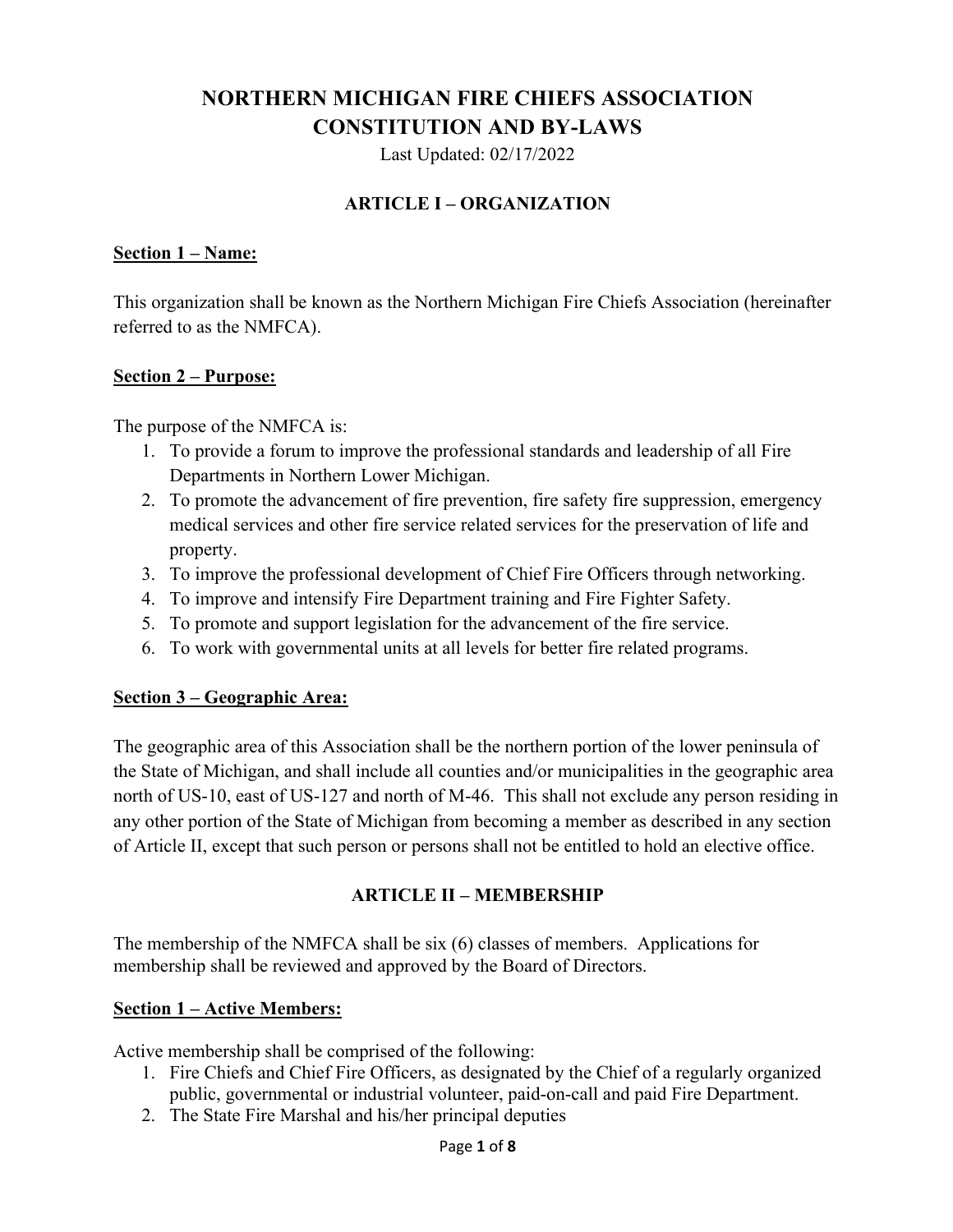# **NORTHERN MICHIGAN FIRE CHIEFS ASSOCIATION CONSTITUTION AND BY-LAWS**

Last Updated: 02/17/2022

## **ARTICLE I – ORGANIZATION**

#### **Section 1 – Name:**

This organization shall be known as the Northern Michigan Fire Chiefs Association (hereinafter referred to as the NMFCA).

#### **Section 2 – Purpose:**

The purpose of the NMFCA is:

- 1. To provide a forum to improve the professional standards and leadership of all Fire Departments in Northern Lower Michigan.
- 2. To promote the advancement of fire prevention, fire safety fire suppression, emergency medical services and other fire service related services for the preservation of life and property.
- 3. To improve the professional development of Chief Fire Officers through networking.
- 4. To improve and intensify Fire Department training and Fire Fighter Safety.
- 5. To promote and support legislation for the advancement of the fire service.
- 6. To work with governmental units at all levels for better fire related programs.

### **Section 3 – Geographic Area:**

The geographic area of this Association shall be the northern portion of the lower peninsula of the State of Michigan, and shall include all counties and/or municipalities in the geographic area north of US-10, east of US-127 and north of M-46. This shall not exclude any person residing in any other portion of the State of Michigan from becoming a member as described in any section of Article II, except that such person or persons shall not be entitled to hold an elective office.

### **ARTICLE II – MEMBERSHIP**

The membership of the NMFCA shall be six (6) classes of members. Applications for membership shall be reviewed and approved by the Board of Directors.

## **Section 1 – Active Members:**

Active membership shall be comprised of the following:

- 1. Fire Chiefs and Chief Fire Officers, as designated by the Chief of a regularly organized public, governmental or industrial volunteer, paid-on-call and paid Fire Department.
- 2. The State Fire Marshal and his/her principal deputies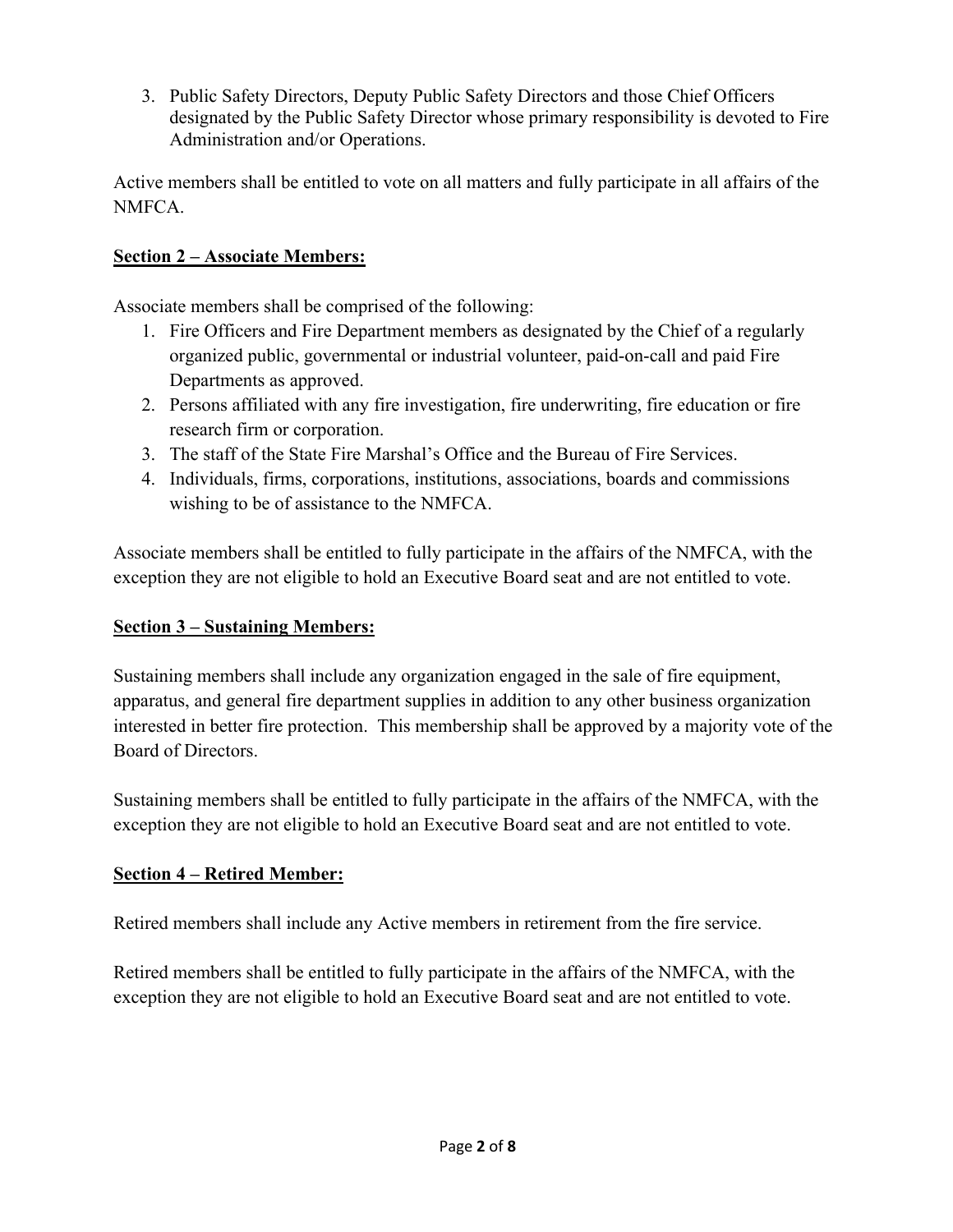3. Public Safety Directors, Deputy Public Safety Directors and those Chief Officers designated by the Public Safety Director whose primary responsibility is devoted to Fire Administration and/or Operations.

Active members shall be entitled to vote on all matters and fully participate in all affairs of the NMFCA.

## **Section 2 – Associate Members:**

Associate members shall be comprised of the following:

- 1. Fire Officers and Fire Department members as designated by the Chief of a regularly organized public, governmental or industrial volunteer, paid-on-call and paid Fire Departments as approved.
- 2. Persons affiliated with any fire investigation, fire underwriting, fire education or fire research firm or corporation.
- 3. The staff of the State Fire Marshal's Office and the Bureau of Fire Services.
- 4. Individuals, firms, corporations, institutions, associations, boards and commissions wishing to be of assistance to the NMFCA.

Associate members shall be entitled to fully participate in the affairs of the NMFCA, with the exception they are not eligible to hold an Executive Board seat and are not entitled to vote.

## **Section 3 – Sustaining Members:**

Sustaining members shall include any organization engaged in the sale of fire equipment, apparatus, and general fire department supplies in addition to any other business organization interested in better fire protection. This membership shall be approved by a majority vote of the Board of Directors.

Sustaining members shall be entitled to fully participate in the affairs of the NMFCA, with the exception they are not eligible to hold an Executive Board seat and are not entitled to vote.

## **Section 4 – Retired Member:**

Retired members shall include any Active members in retirement from the fire service.

Retired members shall be entitled to fully participate in the affairs of the NMFCA, with the exception they are not eligible to hold an Executive Board seat and are not entitled to vote.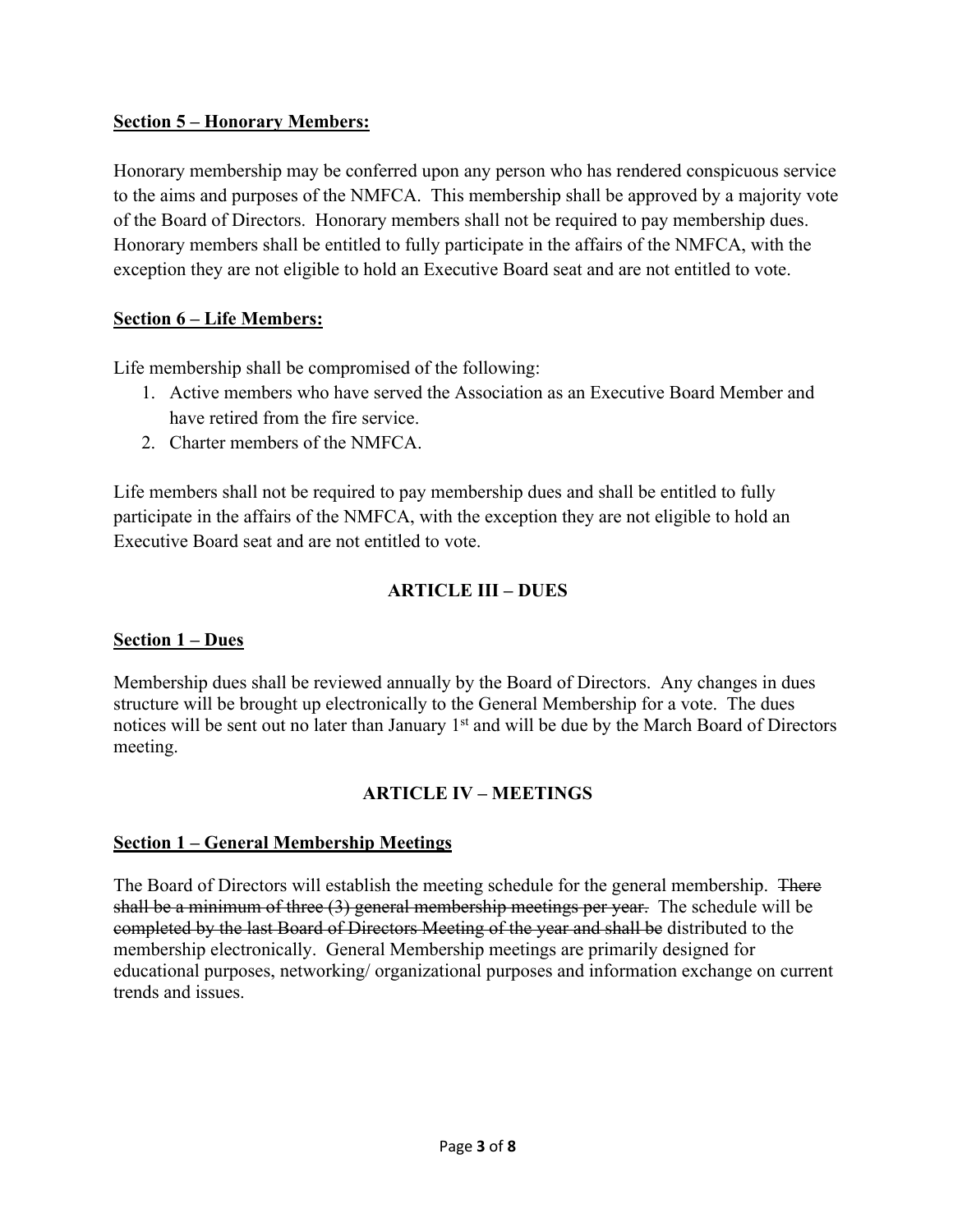## **Section 5 – Honorary Members:**

Honorary membership may be conferred upon any person who has rendered conspicuous service to the aims and purposes of the NMFCA. This membership shall be approved by a majority vote of the Board of Directors. Honorary members shall not be required to pay membership dues. Honorary members shall be entitled to fully participate in the affairs of the NMFCA, with the exception they are not eligible to hold an Executive Board seat and are not entitled to vote.

## **Section 6 – Life Members:**

Life membership shall be compromised of the following:

- 1. Active members who have served the Association as an Executive Board Member and have retired from the fire service.
- 2. Charter members of the NMFCA.

Life members shall not be required to pay membership dues and shall be entitled to fully participate in the affairs of the NMFCA, with the exception they are not eligible to hold an Executive Board seat and are not entitled to vote.

## **ARTICLE III – DUES**

### **Section 1 – Dues**

Membership dues shall be reviewed annually by the Board of Directors. Any changes in dues structure will be brought up electronically to the General Membership for a vote. The dues notices will be sent out no later than January 1<sup>st</sup> and will be due by the March Board of Directors meeting.

## **ARTICLE IV – MEETINGS**

## **Section 1 – General Membership Meetings**

The Board of Directors will establish the meeting schedule for the general membership. There shall be a minimum of three (3) general membership meetings per year. The schedule will be completed by the last Board of Directors Meeting of the year and shall be distributed to the membership electronically. General Membership meetings are primarily designed for educational purposes, networking/ organizational purposes and information exchange on current trends and issues.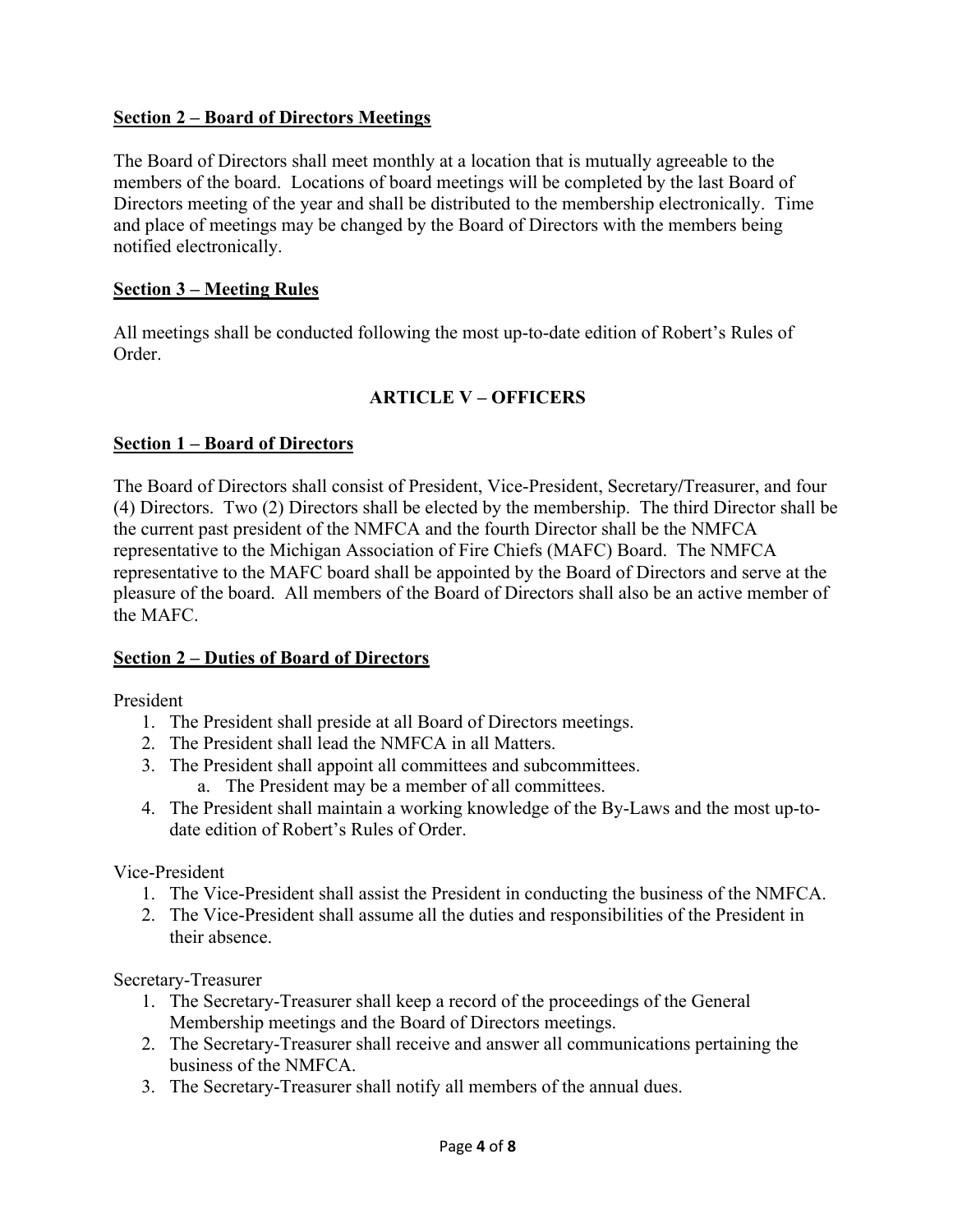### **Section 2 – Board of Directors Meetings**

The Board of Directors shall meet monthly at a location that is mutually agreeable to the members of the board. Locations of board meetings will be completed by the last Board of Directors meeting of the year and shall be distributed to the membership electronically. Time and place of meetings may be changed by the Board of Directors with the members being notified electronically.

### **Section 3 – Meeting Rules**

All meetings shall be conducted following the most up-to-date edition of Robert's Rules of Order.

## **ARTICLE V – OFFICERS**

## **Section 1 – Board of Directors**

The Board of Directors shall consist of President, Vice-President, Secretary**/**Treasurer, and four (4) Directors. Two (2) Directors shall be elected by the membership. The third Director shall be the current past president of the NMFCA and the fourth Director shall be the NMFCA representative to the Michigan Association of Fire Chiefs (MAFC) Board. The NMFCA representative to the MAFC board shall be appointed by the Board of Directors and serve at the pleasure of the board. All members of the Board of Directors shall also be an active member of the MAFC.

### **Section 2 – Duties of Board of Directors**

President

- 1. The President shall preside at all Board of Directors meetings.
- 2. The President shall lead the NMFCA in all Matters.
- 3. The President shall appoint all committees and subcommittees. a. The President may be a member of all committees.
- 4. The President shall maintain a working knowledge of the By-Laws and the most up-todate edition of Robert's Rules of Order.

Vice-President

- 1. The Vice-President shall assist the President in conducting the business of the NMFCA.
- 2. The Vice-President shall assume all the duties and responsibilities of the President in their absence.

Secretary-Treasurer

- 1. The Secretary-Treasurer shall keep a record of the proceedings of the General Membership meetings and the Board of Directors meetings.
- 2. The Secretary-Treasurer shall receive and answer all communications pertaining the business of the NMFCA.
- 3. The Secretary-Treasurer shall notify all members of the annual dues.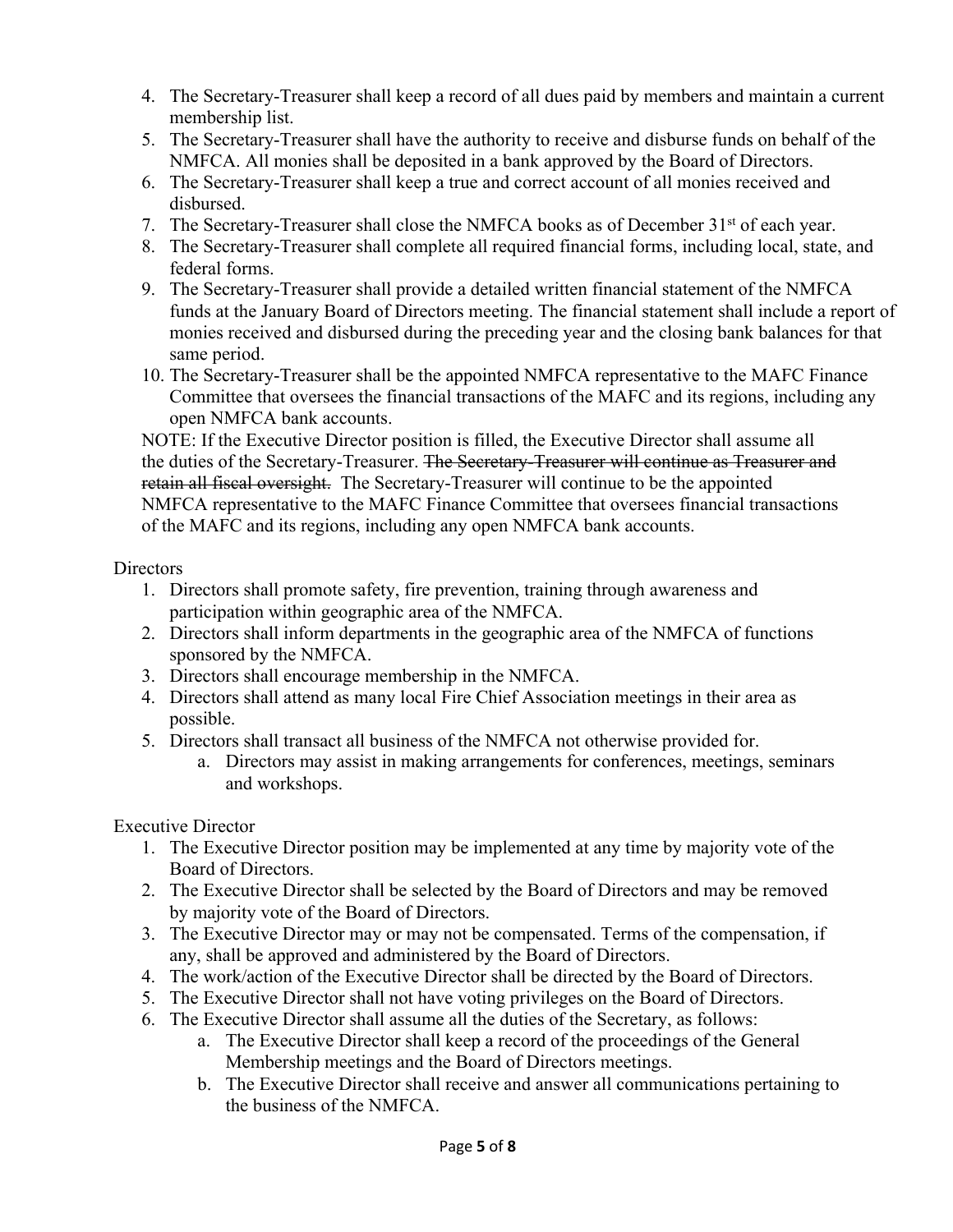- 4. The Secretary-Treasurer shall keep a record of all dues paid by members and maintain a current membership list.
- 5. The Secretary-Treasurer shall have the authority to receive and disburse funds on behalf of the NMFCA. All monies shall be deposited in a bank approved by the Board of Directors.
- 6. The Secretary-Treasurer shall keep a true and correct account of all monies received and disbursed.
- 7. The Secretary-Treasurer shall close the NMFCA books as of December 31<sup>st</sup> of each year.
- 8. The Secretary-Treasurer shall complete all required financial forms, including local, state, and federal forms.
- 9. The Secretary-Treasurer shall provide a detailed written financial statement of the NMFCA funds at the January Board of Directors meeting. The financial statement shall include a report of monies received and disbursed during the preceding year and the closing bank balances for that same period.
- 10. The Secretary-Treasurer shall be the appointed NMFCA representative to the MAFC Finance Committee that oversees the financial transactions of the MAFC and its regions, including any open NMFCA bank accounts.

NOTE: If the Executive Director position is filled, the Executive Director shall assume all the duties of the Secretary-Treasurer. The Secretary-Treasurer will continue as Treasurer and retain all fiscal oversight. The Secretary-Treasurer will continue to be the appointed NMFCA representative to the MAFC Finance Committee that oversees financial transactions of the MAFC and its regions, including any open NMFCA bank accounts.

## **Directors**

- 1. Directors shall promote safety, fire prevention, training through awareness and participation within geographic area of the NMFCA.
- 2. Directors shall inform departments in the geographic area of the NMFCA of functions sponsored by the NMFCA.
- 3. Directors shall encourage membership in the NMFCA.
- 4. Directors shall attend as many local Fire Chief Association meetings in their area as possible.
- 5. Directors shall transact all business of the NMFCA not otherwise provided for.
	- a. Directors may assist in making arrangements for conferences, meetings, seminars and workshops.

Executive Director

- 1. The Executive Director position may be implemented at any time by majority vote of the Board of Directors.
- 2. The Executive Director shall be selected by the Board of Directors and may be removed by majority vote of the Board of Directors.
- 3. The Executive Director may or may not be compensated. Terms of the compensation, if any, shall be approved and administered by the Board of Directors.
- 4. The work/action of the Executive Director shall be directed by the Board of Directors.
- 5. The Executive Director shall not have voting privileges on the Board of Directors.
- 6. The Executive Director shall assume all the duties of the Secretary, as follows:
	- a. The Executive Director shall keep a record of the proceedings of the General Membership meetings and the Board of Directors meetings.
	- b. The Executive Director shall receive and answer all communications pertaining to the business of the NMFCA.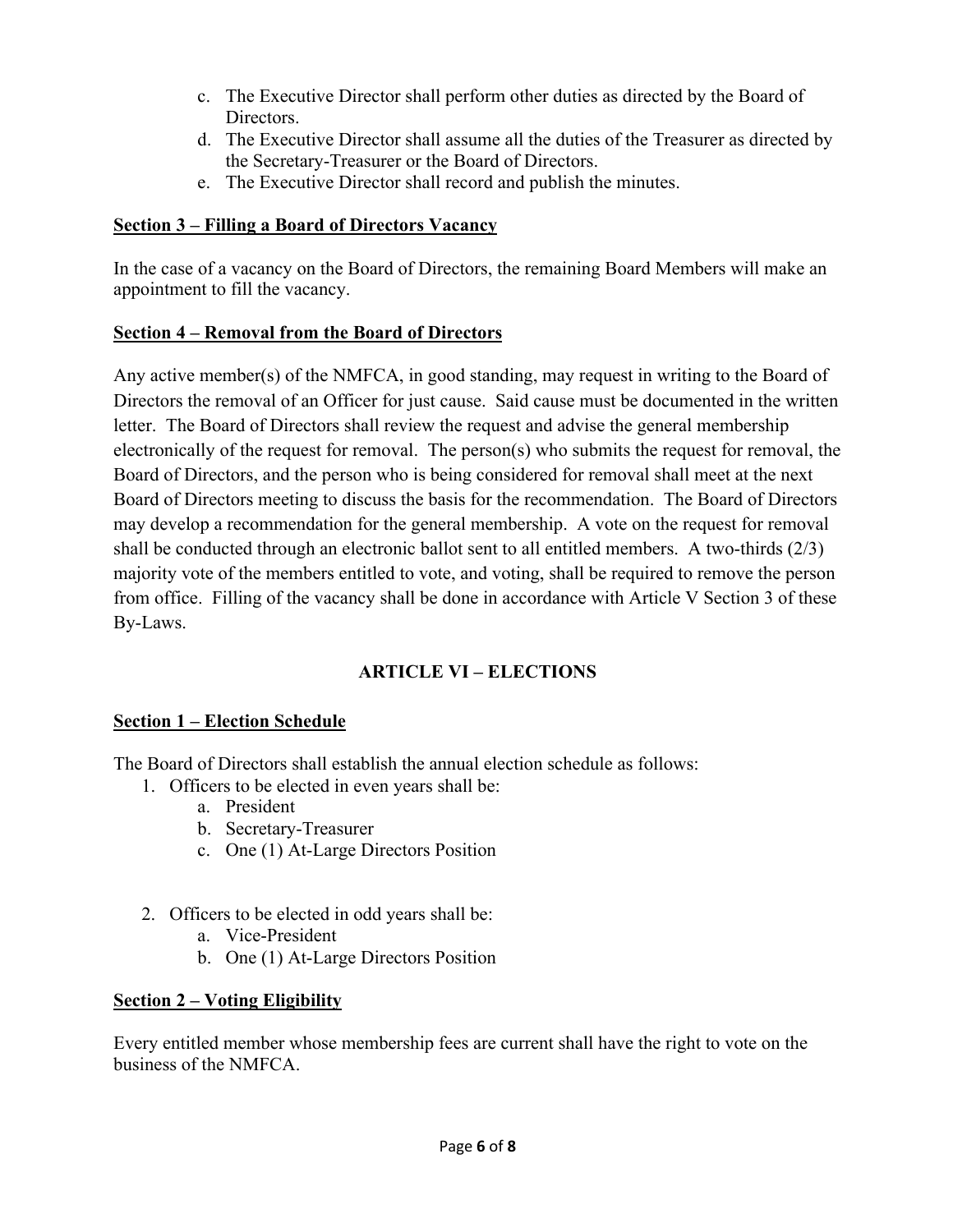- c. The Executive Director shall perform other duties as directed by the Board of Directors.
- d. The Executive Director shall assume all the duties of the Treasurer as directed by the Secretary-Treasurer or the Board of Directors.
- e. The Executive Director shall record and publish the minutes.

## **Section 3 – Filling a Board of Directors Vacancy**

In the case of a vacancy on the Board of Directors, the remaining Board Members will make an appointment to fill the vacancy.

## **Section 4 – Removal from the Board of Directors**

Any active member(s) of the NMFCA, in good standing, may request in writing to the Board of Directors the removal of an Officer for just cause. Said cause must be documented in the written letter. The Board of Directors shall review the request and advise the general membership electronically of the request for removal. The person(s) who submits the request for removal, the Board of Directors, and the person who is being considered for removal shall meet at the next Board of Directors meeting to discuss the basis for the recommendation. The Board of Directors may develop a recommendation for the general membership. A vote on the request for removal shall be conducted through an electronic ballot sent to all entitled members. A two-thirds  $(2/3)$ majority vote of the members entitled to vote, and voting, shall be required to remove the person from office. Filling of the vacancy shall be done in accordance with Article V Section 3 of these By-Laws.

## **ARTICLE VI – ELECTIONS**

## **Section 1 – Election Schedule**

The Board of Directors shall establish the annual election schedule as follows:

- 1. Officers to be elected in even years shall be:
	- a. President
	- b. Secretary-Treasurer
	- c. One (1) At-Large Directors Position
- 2. Officers to be elected in odd years shall be:
	- a. Vice-President
	- b. One (1) At-Large Directors Position

## **Section 2 – Voting Eligibility**

Every entitled member whose membership fees are current shall have the right to vote on the business of the NMFCA.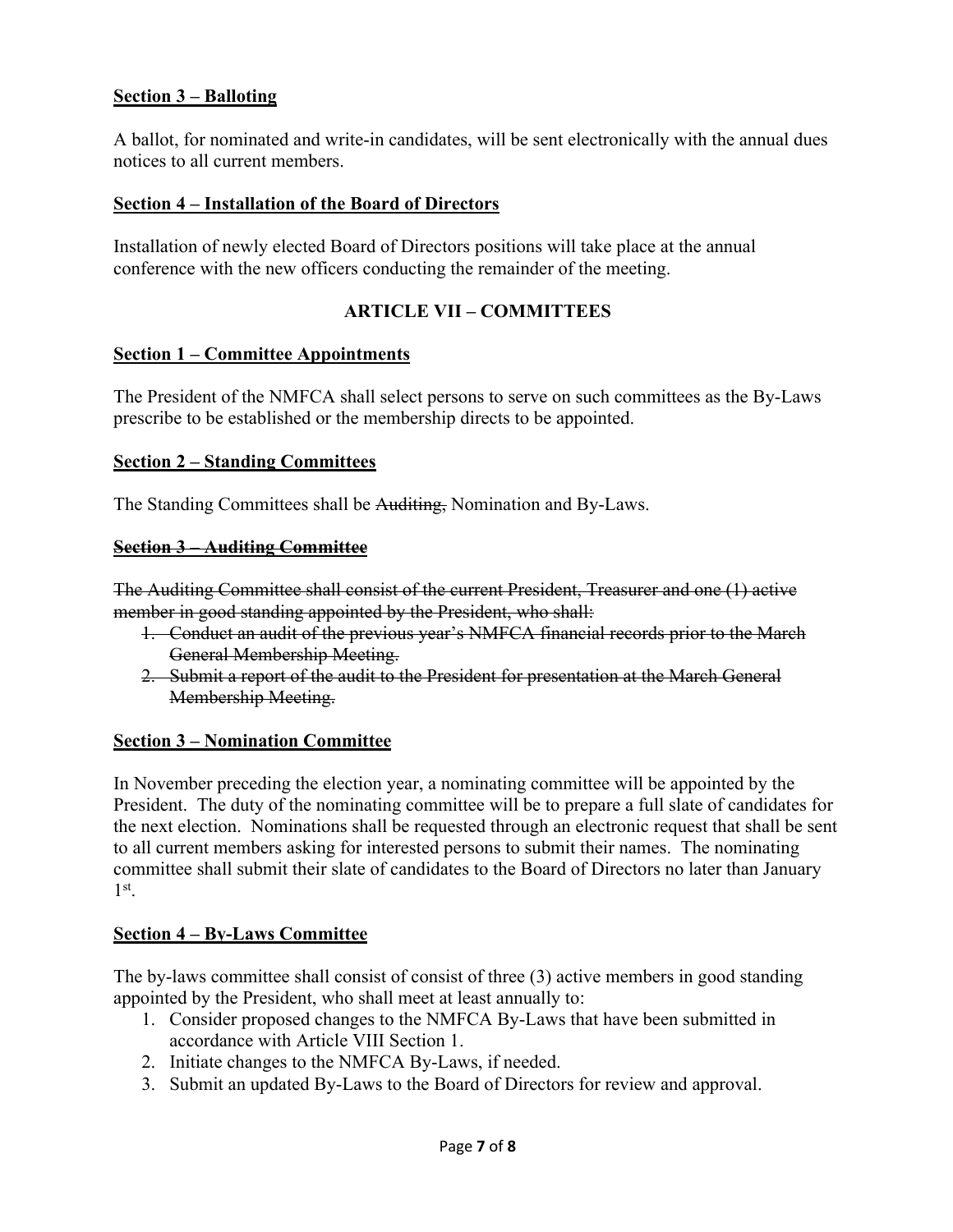### **Section 3 – Balloting**

A ballot, for nominated and write-in candidates, will be sent electronically with the annual dues notices to all current members.

#### **Section 4 – Installation of the Board of Directors**

Installation of newly elected Board of Directors positions will take place at the annual conference with the new officers conducting the remainder of the meeting.

#### **ARTICLE VII – COMMITTEES**

#### **Section 1 – Committee Appointments**

The President of the NMFCA shall select persons to serve on such committees as the By-Laws prescribe to be established or the membership directs to be appointed.

#### **Section 2 – Standing Committees**

The Standing Committees shall be Auditing, Nomination and By-Laws.

#### **Section 3 – Auditing Committee**

The Auditing Committee shall consist of the current President, Treasurer and one (1) active member in good standing appointed by the President, who shall:

- 1. Conduct an audit of the previous year's NMFCA financial records prior to the March General Membership Meeting.
- 2. Submit a report of the audit to the President for presentation at the March General Membership Meeting.

#### **Section 3 – Nomination Committee**

In November preceding the election year, a nominating committee will be appointed by the President. The duty of the nominating committee will be to prepare a full slate of candidates for the next election. Nominations shall be requested through an electronic request that shall be sent to all current members asking for interested persons to submit their names. The nominating committee shall submit their slate of candidates to the Board of Directors no later than January  $1<sup>st</sup>$ .

#### **Section 4 – By-Laws Committee**

The by-laws committee shall consist of consist of three (3) active members in good standing appointed by the President, who shall meet at least annually to:

- 1. Consider proposed changes to the NMFCA By-Laws that have been submitted in accordance with Article VIII Section 1.
- 2. Initiate changes to the NMFCA By-Laws, if needed.
- 3. Submit an updated By-Laws to the Board of Directors for review and approval.